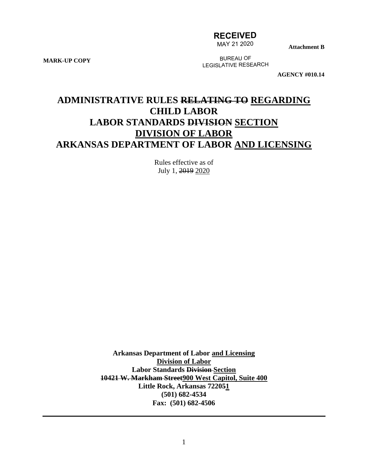## **RECEIVED**

MAY 21 2020

**Attachment B**

**MARK-UP COPY**

BUREAU OF LEGISLATIVE RESEARCH

**AGENCY #010.14**

# **ADMINISTRATIVE RULES RELATING TO REGARDING CHILD LABOR LABOR STANDARDS DIVISION SECTION DIVISION OF LABOR ARKANSAS DEPARTMENT OF LABOR AND LICENSING**

Rules effective as of July 1, 2019 2020

**Arkansas Department of Labor and Licensing Division of Labor Labor Standards Division Section 10421 W. Markham Street900 West Capitol, Suite 400 Little Rock, Arkansas 722051 (501) 682-4534 Fax: (501) 682-4506**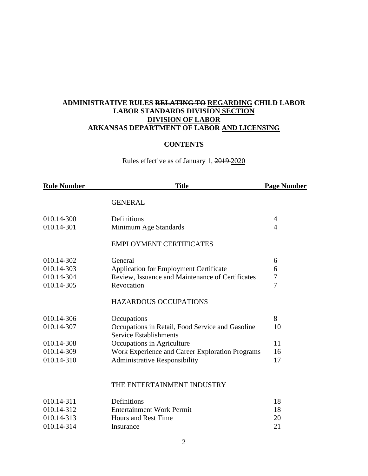## **ADMINISTRATIVE RULES RELATING TO REGARDING CHILD LABOR LABOR STANDARDS DIVISION SECTION DIVISION OF LABOR ARKANSAS DEPARTMENT OF LABOR AND LICENSING**

## **CONTENTS**

Rules effective as of January 1, 2019 2020

| <b>Rule Number</b> | <b>Title</b>                                                                      | <b>Page Number</b> |
|--------------------|-----------------------------------------------------------------------------------|--------------------|
|                    | <b>GENERAL</b>                                                                    |                    |
| 010.14-300         | Definitions                                                                       | 4                  |
| 010.14-301         | Minimum Age Standards                                                             | 4                  |
|                    | <b>EMPLOYMENT CERTIFICATES</b>                                                    |                    |
| 010.14-302         | General                                                                           | 6                  |
| 010.14-303         | <b>Application for Employment Certificate</b>                                     | 6                  |
| 010.14-304         | Review, Issuance and Maintenance of Certificates                                  | $\overline{7}$     |
| 010.14-305         | Revocation                                                                        | $\overline{7}$     |
|                    | <b>HAZARDOUS OCCUPATIONS</b>                                                      |                    |
| 010.14-306         | Occupations                                                                       | 8                  |
| 010.14-307         | Occupations in Retail, Food Service and Gasoline<br><b>Service Establishments</b> | 10                 |
| 010.14-308         | Occupations in Agriculture                                                        | 11                 |
| 010.14-309         | Work Experience and Career Exploration Programs                                   | 16                 |
| 010.14-310         | <b>Administrative Responsibility</b>                                              | 17                 |
|                    | THE ENTERTAINMENT INDUSTRY                                                        |                    |
| 010.14-311         | Definitions                                                                       | 18                 |
| 010.14-312         | <b>Entertainment Work Permit</b>                                                  | 18                 |
| 010.14-313         | <b>Hours and Rest Time</b>                                                        | 20                 |
| 010.14-314         | Insurance                                                                         | 21                 |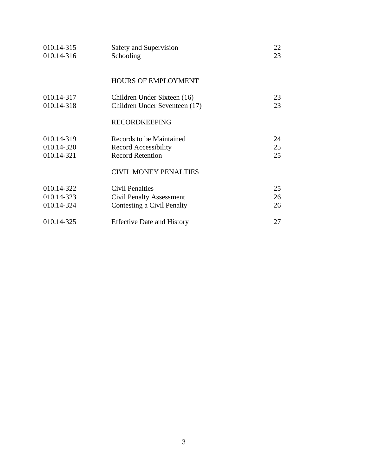| 010.14-315 | Safety and Supervision            | 22 |
|------------|-----------------------------------|----|
| 010.14-316 | Schooling                         | 23 |
|            |                                   |    |
|            | <b>HOURS OF EMPLOYMENT</b>        |    |
|            |                                   |    |
| 010.14-317 | Children Under Sixteen (16)       | 23 |
| 010.14-318 | Children Under Seventeen (17)     | 23 |
|            |                                   |    |
|            | <b>RECORDKEEPING</b>              |    |
|            |                                   |    |
| 010.14-319 | Records to be Maintained          | 24 |
| 010.14-320 | <b>Record Accessibility</b>       | 25 |
| 010.14-321 | <b>Record Retention</b>           | 25 |
|            | <b>CIVIL MONEY PENALTIES</b>      |    |
|            |                                   |    |
| 010.14-322 | <b>Civil Penalties</b>            | 25 |
| 010.14-323 | <b>Civil Penalty Assessment</b>   | 26 |
| 010.14-324 | Contesting a Civil Penalty        | 26 |
|            |                                   |    |
| 010.14-325 | <b>Effective Date and History</b> | 27 |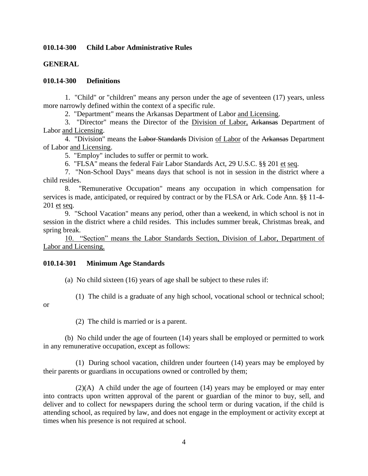#### **010.14-300 Child Labor Administrative Rules**

## **GENERAL**

#### **010.14-300 Definitions**

1. "Child" or "children" means any person under the age of seventeen (17) years, unless more narrowly defined within the context of a specific rule.

2. "Department" means the Arkansas Department of Labor and Licensing.

3. "Director" means the Director of the Division of Labor, Arkansas Department of Labor and Licensing.

4. "Division" means the Labor Standards Division of Labor of the Arkansas Department of Labor and Licensing.

5. "Employ" includes to suffer or permit to work.

6. "FLSA" means the federal Fair Labor Standards Act, 29 U.S.C. §§ 201 et seq.

7. "Non-School Days" means days that school is not in session in the district where a child resides.

8. "Remunerative Occupation" means any occupation in which compensation for services is made, anticipated, or required by contract or by the FLSA or Ark. Code Ann. §§ 11-4- 201 et seq.

9. "School Vacation" means any period, other than a weekend, in which school is not in session in the district where a child resides. This includes summer break, Christmas break, and spring break.

10. "Section" means the Labor Standards Section, Division of Labor, Department of Labor and Licensing.

#### **010.14-301 Minimum Age Standards**

(a) No child sixteen (16) years of age shall be subject to these rules if:

(1) The child is a graduate of any high school, vocational school or technical school;

or

(2) The child is married or is a parent.

(b) No child under the age of fourteen (14) years shall be employed or permitted to work in any remunerative occupation, except as follows:

(1) During school vacation, children under fourteen (14) years may be employed by their parents or guardians in occupations owned or controlled by them;

(2)(A) A child under the age of fourteen (14) years may be employed or may enter into contracts upon written approval of the parent or guardian of the minor to buy, sell, and deliver and to collect for newspapers during the school term or during vacation, if the child is attending school, as required by law, and does not engage in the employment or activity except at times when his presence is not required at school.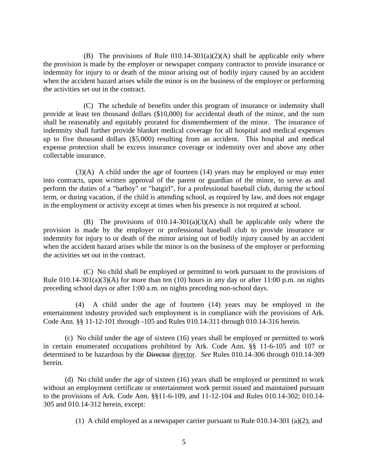(B) The provisions of Rule  $010.14$ -301(a)(2)(A) shall be applicable only where the provision is made by the employer or newspaper company contractor to provide insurance or indemnity for injury to or death of the minor arising out of bodily injury caused by an accident when the accident hazard arises while the minor is on the business of the employer or performing the activities set out in the contract.

(C) The schedule of benefits under this program of insurance or indemnity shall provide at least ten thousand dollars (\$10,000) for accidental death of the minor, and the sum shall be reasonably and equitably prorated for dismemberment of the minor. The insurance of indemnity shall further provide blanket medical coverage for all hospital and medical expenses up to five thousand dollars (\$5,000) resulting from an accident. This hospital and medical expense protection shall be excess insurance coverage or indemnity over and above any other collectable insurance.

 $(3)(A)$  A child under the age of fourteen  $(14)$  years may be employed or may enter into contracts, upon written approval of the parent or guardian of the minor, to serve as and perform the duties of a "batboy" or "batgirl", for a professional baseball club, during the school term, or during vacation, if the child is attending school, as required by law, and does not engage in the employment or activity except at times when his presence is not required at school.

(B) The provisions of  $010.14-301(a)(3)(A)$  shall be applicable only where the provision is made by the employer or professional baseball club to provide insurance or indemnity for injury to or death of the minor arising out of bodily injury caused by an accident when the accident hazard arises while the minor is on the business of the employer or performing the activities set out in the contract.

(C) No child shall be employed or permitted to work pursuant to the provisions of Rule  $010.14$ -301(a)(3)(A) for more than ten (10) hours in any day or after 11:00 p.m. on nights preceding school days or after 1:00 a.m. on nights preceding non-school days.

(4) A child under the age of fourteen (14) years may be employed in the entertainment industry provided such employment is in compliance with the provisions of Ark. Code Ann. §§ 11-12-101 through -105 and Rules 010.14-311 through 010.14-316 herein.

(c) No child under the age of sixteen (16) years shall be employed or permitted to work in certain enumerated occupations prohibited by Ark. Code Ann. §§ 11-6-105 and 107 or determined to be hazardous by the Director director. *See* Rules 010.14-306 through 010.14-309 herein.

(d) No child under the age of sixteen (16) years shall be employed or permitted to work without an employment certificate or entertainment work permit issued and maintained pursuant to the provisions of Ark. Code Ann. §§11-6-109, and 11-12-104 and Rules 010.14-302; 010.14- 305 and 010.14-312 herein, except:

(1) A child employed as a newspaper carrier pursuant to Rule 010.14-301 (a)(2); and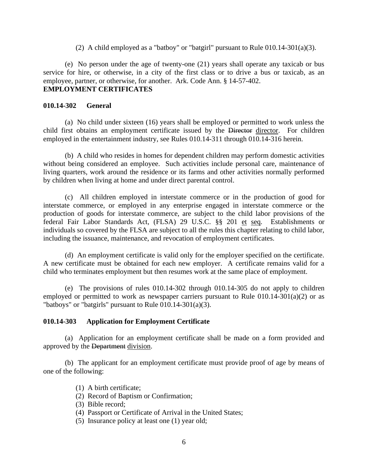(2) A child employed as a "batboy" or "batgirl" pursuant to Rule  $010.14-301(a)(3)$ .

(e) No person under the age of twenty-one (21) years shall operate any taxicab or bus service for hire, or otherwise, in a city of the first class or to drive a bus or taxicab, as an employee, partner, or otherwise, for another. Ark. Code Ann. § 14-57-402. **EMPLOYMENT CERTIFICATES**

#### **010.14-302 General**

(a) No child under sixteen (16) years shall be employed or permitted to work unless the child first obtains an employment certificate issued by the Director director. For children employed in the entertainment industry, see Rules 010.14-311 through 010.14-316 herein.

(b) A child who resides in homes for dependent children may perform domestic activities without being considered an employee. Such activities include personal care, maintenance of living quarters, work around the residence or its farms and other activities normally performed by children when living at home and under direct parental control.

(c) All children employed in interstate commerce or in the production of good for interstate commerce, or employed in any enterprise engaged in interstate commerce or the production of goods for interstate commerce, are subject to the child labor provisions of the federal Fair Labor Standards Act, (FLSA) 29 U.S.C. §§ 201 et seq. Establishments or individuals so covered by the FLSA are subject to all the rules this chapter relating to child labor, including the issuance, maintenance, and revocation of employment certificates.

(d) An employment certificate is valid only for the employer specified on the certificate. A new certificate must be obtained for each new employer. A certificate remains valid for a child who terminates employment but then resumes work at the same place of employment.

(e) The provisions of rules 010.14-302 through 010.14-305 do not apply to children employed or permitted to work as newspaper carriers pursuant to Rule  $010.14$ -301 $(a)(2)$  or as "batboys" or "batgirls" pursuant to Rule  $\overline{010.14\cdot 301(a)(3)}$ .

#### **010.14-303 Application for Employment Certificate**

(a) Application for an employment certificate shall be made on a form provided and approved by the Department division.

(b) The applicant for an employment certificate must provide proof of age by means of one of the following:

(1) A birth certificate;

- (2) Record of Baptism or Confirmation;
- (3) Bible record;
- (4) Passport or Certificate of Arrival in the United States;
- (5) Insurance policy at least one (1) year old;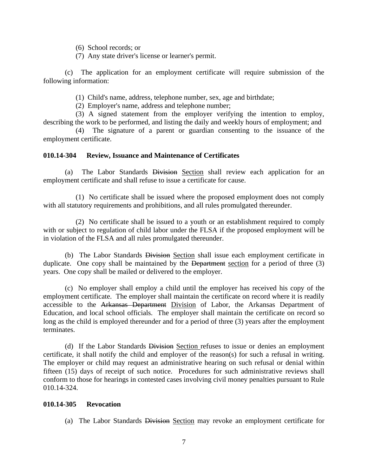- (6) School records; or
- (7) Any state driver's license or learner's permit.

(c) The application for an employment certificate will require submission of the following information:

(1) Child's name, address, telephone number, sex, age and birthdate;

(2) Employer's name, address and telephone number;

(3) A signed statement from the employer verifying the intention to employ, describing the work to be performed, and listing the daily and weekly hours of employment; and

(4) The signature of a parent or guardian consenting to the issuance of the employment certificate.

#### **010.14-304 Review, Issuance and Maintenance of Certificates**

(a) The Labor Standards Division Section shall review each application for an employment certificate and shall refuse to issue a certificate for cause.

(1) No certificate shall be issued where the proposed employment does not comply with all statutory requirements and prohibitions, and all rules promulgated thereunder.

(2) No certificate shall be issued to a youth or an establishment required to comply with or subject to regulation of child labor under the FLSA if the proposed employment will be in violation of the FLSA and all rules promulgated thereunder.

(b) The Labor Standards Division Section shall issue each employment certificate in duplicate. One copy shall be maintained by the Department section for a period of three (3) years. One copy shall be mailed or delivered to the employer.

(c) No employer shall employ a child until the employer has received his copy of the employment certificate. The employer shall maintain the certificate on record where it is readily accessible to the Arkansas Department Division of Labor, the Arkansas Department of Education, and local school officials. The employer shall maintain the certificate on record so long as the child is employed thereunder and for a period of three (3) years after the employment terminates.

(d) If the Labor Standards Division Section refuses to issue or denies an employment certificate, it shall notify the child and employer of the reason(s) for such a refusal in writing. The employer or child may request an administrative hearing on such refusal or denial within fifteen (15) days of receipt of such notice. Procedures for such administrative reviews shall conform to those for hearings in contested cases involving civil money penalties pursuant to Rule 010.14-324.

#### **010.14-305 Revocation**

(a) The Labor Standards Division Section may revoke an employment certificate for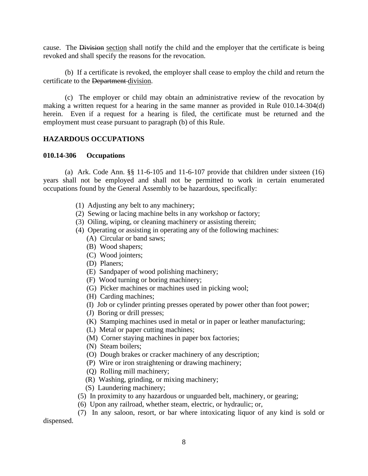cause. The Division section shall notify the child and the employer that the certificate is being revoked and shall specify the reasons for the revocation.

(b) If a certificate is revoked, the employer shall cease to employ the child and return the certificate to the Department division.

(c) The employer or child may obtain an administrative review of the revocation by making a written request for a hearing in the same manner as provided in Rule 010.14-304(d) herein. Even if a request for a hearing is filed, the certificate must be returned and the employment must cease pursuant to paragraph (b) of this Rule.

#### **HAZARDOUS OCCUPATIONS**

#### **010.14-306 Occupations**

(a) Ark. Code Ann. §§ 11-6-105 and 11-6-107 provide that children under sixteen (16) years shall not be employed and shall not be permitted to work in certain enumerated occupations found by the General Assembly to be hazardous, specifically:

- (1) Adjusting any belt to any machinery;
- (2) Sewing or lacing machine belts in any workshop or factory;
- (3) Oiling, wiping, or cleaning machinery or assisting therein;
- (4) Operating or assisting in operating any of the following machines:
	- (A) Circular or band saws;
	- (B) Wood shapers;
	- (C) Wood jointers;
	- (D) Planers;
	- (E) Sandpaper of wood polishing machinery;
	- (F) Wood turning or boring machinery;
	- (G) Picker machines or machines used in picking wool;
	- (H) Carding machines;
	- (I) Job or cylinder printing presses operated by power other than foot power;
	- (J) Boring or drill presses;
	- (K) Stamping machines used in metal or in paper or leather manufacturing;
	- (L) Metal or paper cutting machines;
	- (M) Corner staying machines in paper box factories;
	- (N) Steam boilers;
	- (O) Dough brakes or cracker machinery of any description;
	- (P) Wire or iron straightening or drawing machinery;
	- (Q) Rolling mill machinery;
	- (R) Washing, grinding, or mixing machinery;
	- (S) Laundering machinery;
- (5) In proximity to any hazardous or unguarded belt, machinery, or gearing;
- (6) Upon any railroad, whether steam, electric, or hydraulic; or,

(7) In any saloon, resort, or bar where intoxicating liquor of any kind is sold or dispensed.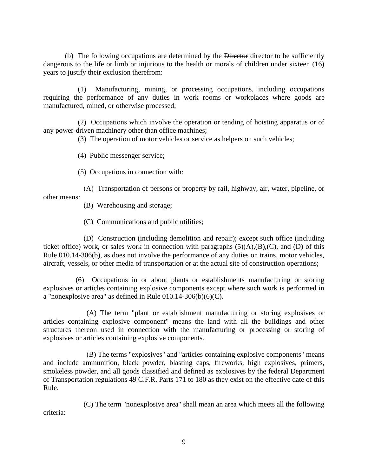(b) The following occupations are determined by the Director director to be sufficiently dangerous to the life or limb or injurious to the health or morals of children under sixteen (16) years to justify their exclusion therefrom:

(1) Manufacturing, mining, or processing occupations, including occupations requiring the performance of any duties in work rooms or workplaces where goods are manufactured, mined, or otherwise processed;

(2) Occupations which involve the operation or tending of hoisting apparatus or of any power-driven machinery other than office machines;

(3) The operation of motor vehicles or service as helpers on such vehicles;

(4) Public messenger service;

(5) Occupations in connection with:

(A) Transportation of persons or property by rail, highway, air, water, pipeline, or other means:

(B) Warehousing and storage;

(C) Communications and public utilities;

(D) Construction (including demolition and repair); except such office (including ticket office) work, or sales work in connection with paragraphs  $(5)(A),(B),(C)$ , and  $(D)$  of this Rule 010.14-306(b), as does not involve the performance of any duties on trains, motor vehicles, aircraft, vessels, or other media of transportation or at the actual site of construction operations;

(6) Occupations in or about plants or establishments manufacturing or storing explosives or articles containing explosive components except where such work is performed in a "nonexplosive area" as defined in Rule  $010.14-306(b)(6)(C)$ .

(A) The term "plant or establishment manufacturing or storing explosives or articles containing explosive component" means the land with all the buildings and other structures thereon used in connection with the manufacturing or processing or storing of explosives or articles containing explosive components.

(B) The terms "explosives" and "articles containing explosive components" means and include ammunition, black powder, blasting caps, fireworks, high explosives, primers, smokeless powder, and all goods classified and defined as explosives by the federal Department of Transportation regulations 49 C.F.R. Parts 171 to 180 as they exist on the effective date of this Rule.

(C) The term "nonexplosive area" shall mean an area which meets all the following criteria: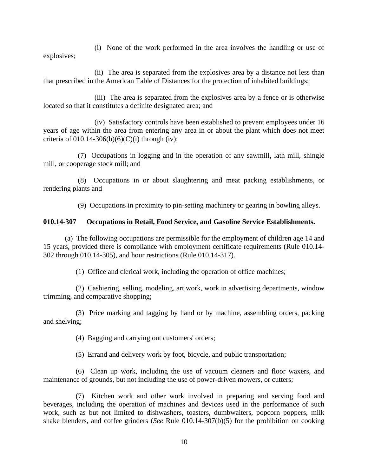(i) None of the work performed in the area involves the handling or use of explosives;

(ii) The area is separated from the explosives area by a distance not less than that prescribed in the American Table of Distances for the protection of inhabited buildings;

(iii) The area is separated from the explosives area by a fence or is otherwise located so that it constitutes a definite designated area; and

(iv) Satisfactory controls have been established to prevent employees under 16 years of age within the area from entering any area in or about the plant which does not meet criteria of  $010.14-306(b)(6)(C)(i)$  through (iv);

(7) Occupations in logging and in the operation of any sawmill, lath mill, shingle mill, or cooperage stock mill; and

(8) Occupations in or about slaughtering and meat packing establishments, or rendering plants and

(9) Occupations in proximity to pin-setting machinery or gearing in bowling alleys.

#### **010.14-307 Occupations in Retail, Food Service, and Gasoline Service Establishments.**

(a) The following occupations are permissible for the employment of children age 14 and 15 years, provided there is compliance with employment certificate requirements (Rule 010.14- 302 through 010.14-305), and hour restrictions (Rule 010.14-317).

(1) Office and clerical work, including the operation of office machines;

(2) Cashiering, selling, modeling, art work, work in advertising departments, window trimming, and comparative shopping;

(3) Price marking and tagging by hand or by machine, assembling orders, packing and shelving;

(4) Bagging and carrying out customers' orders;

(5) Errand and delivery work by foot, bicycle, and public transportation;

(6) Clean up work, including the use of vacuum cleaners and floor waxers, and maintenance of grounds, but not including the use of power-driven mowers, or cutters;

(7) Kitchen work and other work involved in preparing and serving food and beverages, including the operation of machines and devices used in the performance of such work, such as but not limited to dishwashers, toasters, dumbwaiters, popcorn poppers, milk shake blenders, and coffee grinders (*See* Rule 010.14-307(b)(5) for the prohibition on cooking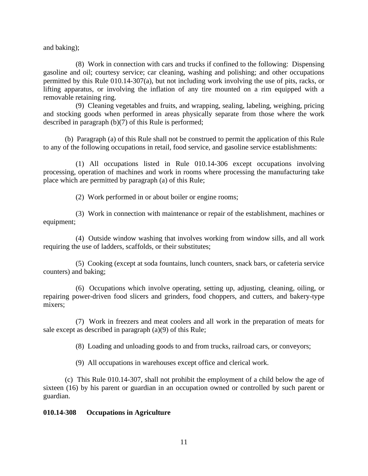and baking);

(8) Work in connection with cars and trucks if confined to the following: Dispensing gasoline and oil; courtesy service; car cleaning, washing and polishing; and other occupations permitted by this Rule 010.14-307(a), but not including work involving the use of pits, racks, or lifting apparatus, or involving the inflation of any tire mounted on a rim equipped with a removable retaining ring.

(9) Cleaning vegetables and fruits, and wrapping, sealing, labeling, weighing, pricing and stocking goods when performed in areas physically separate from those where the work described in paragraph (b)(7) of this Rule is performed;

(b) Paragraph (a) of this Rule shall not be construed to permit the application of this Rule to any of the following occupations in retail, food service, and gasoline service establishments:

(1) All occupations listed in Rule 010.14-306 except occupations involving processing, operation of machines and work in rooms where processing the manufacturing take place which are permitted by paragraph (a) of this Rule;

(2) Work performed in or about boiler or engine rooms;

(3) Work in connection with maintenance or repair of the establishment, machines or equipment;

(4) Outside window washing that involves working from window sills, and all work requiring the use of ladders, scaffolds, or their substitutes;

(5) Cooking (except at soda fountains, lunch counters, snack bars, or cafeteria service counters) and baking;

(6) Occupations which involve operating, setting up, adjusting, cleaning, oiling, or repairing power-driven food slicers and grinders, food choppers, and cutters, and bakery-type mixers;

(7) Work in freezers and meat coolers and all work in the preparation of meats for sale except as described in paragraph (a)(9) of this Rule;

(8) Loading and unloading goods to and from trucks, railroad cars, or conveyors;

(9) All occupations in warehouses except office and clerical work.

(c) This Rule 010.14-307, shall not prohibit the employment of a child below the age of sixteen (16) by his parent or guardian in an occupation owned or controlled by such parent or guardian.

#### **010.14-308 Occupations in Agriculture**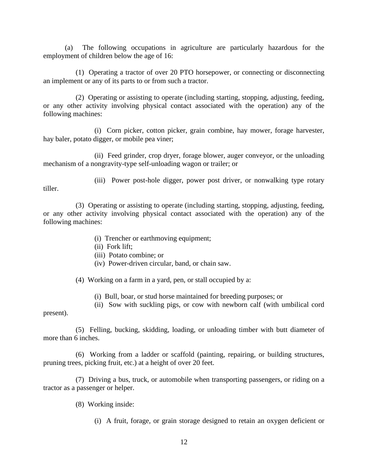(a) The following occupations in agriculture are particularly hazardous for the employment of children below the age of 16:

(1) Operating a tractor of over 20 PTO horsepower, or connecting or disconnecting an implement or any of its parts to or from such a tractor.

(2) Operating or assisting to operate (including starting, stopping, adjusting, feeding, or any other activity involving physical contact associated with the operation) any of the following machines:

(i) Corn picker, cotton picker, grain combine, hay mower, forage harvester, hay baler, potato digger, or mobile pea viner;

(ii) Feed grinder, crop dryer, forage blower, auger conveyor, or the unloading mechanism of a nongravity-type self-unloading wagon or trailer; or

tiller.

(iii) Power post-hole digger, power post driver, or nonwalking type rotary

(3) Operating or assisting to operate (including starting, stopping, adjusting, feeding, or any other activity involving physical contact associated with the operation) any of the following machines:

- (i) Trencher or earthmoving equipment;
- (ii) Fork lift;
- (iii) Potato combine; or
- (iv) Power-driven circular, band, or chain saw.

(4) Working on a farm in a yard, pen, or stall occupied by a:

(i) Bull, boar, or stud horse maintained for breeding purposes; or

(ii) Sow with suckling pigs, or cow with newborn calf (with umbilical cord

present).

(5) Felling, bucking, skidding, loading, or unloading timber with butt diameter of more than 6 inches.

(6) Working from a ladder or scaffold (painting, repairing, or building structures, pruning trees, picking fruit, etc.) at a height of over 20 feet.

(7) Driving a bus, truck, or automobile when transporting passengers, or riding on a tractor as a passenger or helper.

- (8) Working inside:
	- (i) A fruit, forage, or grain storage designed to retain an oxygen deficient or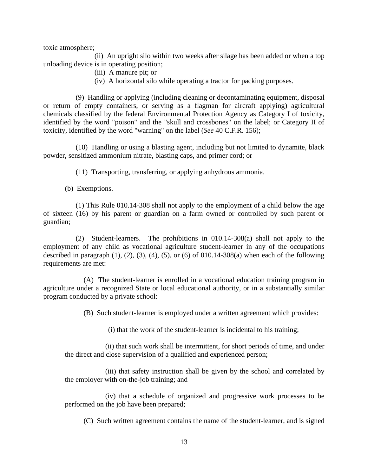toxic atmosphere;

(ii) An upright silo within two weeks after silage has been added or when a top unloading device is in operating position;

- (iii) A manure pit; or
- (iv) A horizontal silo while operating a tractor for packing purposes.

(9) Handling or applying (including cleaning or decontaminating equipment, disposal or return of empty containers, or serving as a flagman for aircraft applying) agricultural chemicals classified by the federal Environmental Protection Agency as Category I of toxicity, identified by the word "poison" and the "skull and crossbones" on the label; or Category II of toxicity, identified by the word "warning" on the label (*See* 40 C.F.R. 156);

(10) Handling or using a blasting agent, including but not limited to dynamite, black powder, sensitized ammonium nitrate, blasting caps, and primer cord; or

(11) Transporting, transferring, or applying anhydrous ammonia.

(b) Exemptions.

(1) This Rule 010.14-308 shall not apply to the employment of a child below the age of sixteen (16) by his parent or guardian on a farm owned or controlled by such parent or guardian;

(2) Student-learners. The prohibitions in 010.14-308(a) shall not apply to the employment of any child as vocational agriculture student-learner in any of the occupations described in paragraph  $(1)$ ,  $(2)$ ,  $(3)$ ,  $(4)$ ,  $(5)$ , or  $(6)$  of 010.14-308 $(a)$  when each of the following requirements are met:

(A) The student-learner is enrolled in a vocational education training program in agriculture under a recognized State or local educational authority, or in a substantially similar program conducted by a private school:

(B) Such student-learner is employed under a written agreement which provides:

(i) that the work of the student-learner is incidental to his training;

(ii) that such work shall be intermittent, for short periods of time, and under the direct and close supervision of a qualified and experienced person;

(iii) that safety instruction shall be given by the school and correlated by the employer with on-the-job training; and

(iv) that a schedule of organized and progressive work processes to be performed on the job have been prepared;

(C) Such written agreement contains the name of the student-learner, and is signed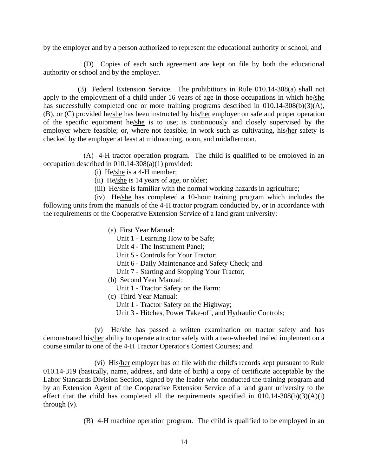by the employer and by a person authorized to represent the educational authority or school; and

(D) Copies of each such agreement are kept on file by both the educational authority or school and by the employer.

(3) Federal Extension Service. The prohibitions in Rule 010.14-308(a) shall not apply to the employment of a child under 16 years of age in those occupations in which he/she has successfully completed one or more training programs described in 010.14-308(b)(3)(A), (B), or (C) provided he/she has been instructed by his/her employer on safe and proper operation of the specific equipment he/she is to use; is continuously and closely supervised by the employer where feasible; or, where not feasible, in work such as cultivating, his/her safety is checked by the employer at least at midmorning, noon, and midafternoon.

(A) 4-H tractor operation program. The child is qualified to be employed in an occupation described in 010.14-308(a)(1) provided:

- (i) He/she is a 4-H member;
- (ii) He/she is 14 years of age, or older;
- (iii) He/she is familiar with the normal working hazards in agriculture;

(iv) He/she has completed a 10-hour training program which includes the following units from the manuals of the 4-H tractor program conducted by, or in accordance with the requirements of the Cooperative Extension Service of a land grant university:

- (a) First Year Manual:
	- Unit 1 Learning How to be Safe;
	- Unit 4 The Instrument Panel;
	- Unit 5 Controls for Your Tractor;
	- Unit 6 Daily Maintenance and Safety Check; and
	- Unit 7 Starting and Stopping Your Tractor;
- (b) Second Year Manual:
	- Unit 1 Tractor Safety on the Farm:
- (c) Third Year Manual:
	- Unit 1 Tractor Safety on the Highway;
	- Unit 3 Hitches, Power Take-off, and Hydraulic Controls;

(v) He/she has passed a written examination on tractor safety and has demonstrated his/her ability to operate a tractor safely with a two-wheeled trailed implement on a course similar to one of the 4-H Tractor Operator's Contest Courses; and

(vi) His/her employer has on file with the child's records kept pursuant to Rule 010.14-319 (basically, name, address, and date of birth) a copy of certificate acceptable by the Labor Standards Division Section, signed by the leader who conducted the training program and by an Extension Agent of the Cooperative Extension Service of a land grant university to the effect that the child has completed all the requirements specified in  $010.14-308(b)(3)(A)(i)$ through (v).

(B) 4-H machine operation program. The child is qualified to be employed in an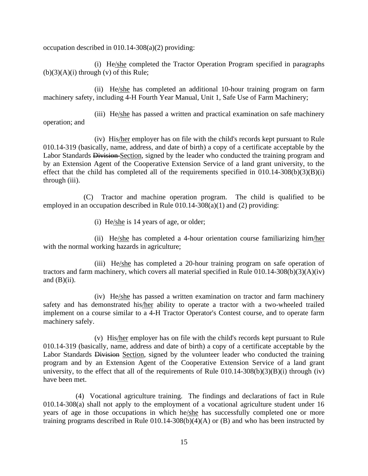occupation described in 010.14-308(a)(2) providing:

(i) He/she completed the Tractor Operation Program specified in paragraphs  $(b)(3)(A)(i)$  through  $(v)$  of this Rule;

(ii) He/she has completed an additional 10-hour training program on farm machinery safety, including 4-H Fourth Year Manual, Unit 1, Safe Use of Farm Machinery;

(iii) He/she has passed a written and practical examination on safe machinery operation; and

(iv) His/her employer has on file with the child's records kept pursuant to Rule 010.14-319 (basically, name, address, and date of birth) a copy of a certificate acceptable by the Labor Standards Division-Section, signed by the leader who conducted the training program and by an Extension Agent of the Cooperative Extension Service of a land grant university, to the effect that the child has completed all of the requirements specified in  $010.14-308(b)(3)(B)(i)$ through (iii).

(C) Tractor and machine operation program. The child is qualified to be employed in an occupation described in Rule 010.14-308(a)(1) and (2) providing:

(i) He/she is 14 years of age, or older;

(ii) He/she has completed a 4-hour orientation course familiarizing him/her with the normal working hazards in agriculture;

(iii) He/she has completed a 20-hour training program on safe operation of tractors and farm machinery, which covers all material specified in Rule 010.14-308(b)(3)(A)(iv) and  $(B)(ii)$ .

(iv) He/she has passed a written examination on tractor and farm machinery safety and has demonstrated his/her ability to operate a tractor with a two-wheeled trailed implement on a course similar to a 4-H Tractor Operator's Contest course, and to operate farm machinery safely.

(v) His/her employer has on file with the child's records kept pursuant to Rule 010.14-319 (basically, name, address and date of birth) a copy of a certificate acceptable by the Labor Standards Division Section, signed by the volunteer leader who conducted the training program and by an Extension Agent of the Cooperative Extension Service of a land grant university, to the effect that all of the requirements of Rule  $010.14-308(b)(3)(B)(i)$  through (iv) have been met.

(4) Vocational agriculture training. The findings and declarations of fact in Rule 010.14-308(a) shall not apply to the employment of a vocational agriculture student under 16 years of age in those occupations in which he/she has successfully completed one or more training programs described in Rule  $010.14$ -308(b)(4)(A) or (B) and who has been instructed by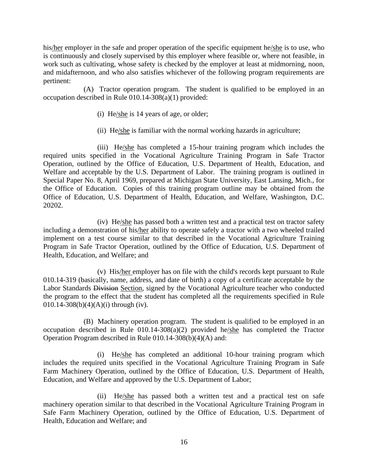his/her employer in the safe and proper operation of the specific equipment he/she is to use, who is continuously and closely supervised by this employer where feasible or, where not feasible, in work such as cultivating, whose safety is checked by the employer at least at midmorning, noon, and midafternoon, and who also satisfies whichever of the following program requirements are pertinent:

(A) Tractor operation program. The student is qualified to be employed in an occupation described in Rule 010.14-308(a)(1) provided:

- (i) He/she is 14 years of age, or older;
- (ii) He/she is familiar with the normal working hazards in agriculture;

(iii) He/she has completed a 15-hour training program which includes the required units specified in the Vocational Agriculture Training Program in Safe Tractor Operation, outlined by the Office of Education, U.S. Department of Health, Education, and Welfare and acceptable by the U.S. Department of Labor. The training program is outlined in Special Paper No. 8, April 1969, prepared at Michigan State University, East Lansing, Mich., for the Office of Education. Copies of this training program outline may be obtained from the Office of Education, U.S. Department of Health, Education, and Welfare, Washington, D.C. 20202.

(iv) He/she has passed both a written test and a practical test on tractor safety including a demonstration of his/her ability to operate safely a tractor with a two wheeled trailed implement on a test course similar to that described in the Vocational Agriculture Training Program in Safe Tractor Operation, outlined by the Office of Education, U.S. Department of Health, Education, and Welfare; and

(v) His/her employer has on file with the child's records kept pursuant to Rule 010.14-319 (basically, name, address, and date of birth) a copy of a certificate acceptable by the Labor Standards Division Section, signed by the Vocational Agriculture teacher who conducted the program to the effect that the student has completed all the requirements specified in Rule 010.14-308(b)(4)(A)(i) through (iv).

(B) Machinery operation program. The student is qualified to be employed in an occupation described in Rule 010.14-308(a)(2) provided he/she has completed the Tractor Operation Program described in Rule 010.14-308(b)(4)(A) and:

(i) He/she has completed an additional 10-hour training program which includes the required units specified in the Vocational Agriculture Training Program in Safe Farm Machinery Operation, outlined by the Office of Education, U.S. Department of Health, Education, and Welfare and approved by the U.S. Department of Labor;

(ii) He/she has passed both a written test and a practical test on safe machinery operation similar to that described in the Vocational Agriculture Training Program in Safe Farm Machinery Operation, outlined by the Office of Education, U.S. Department of Health, Education and Welfare; and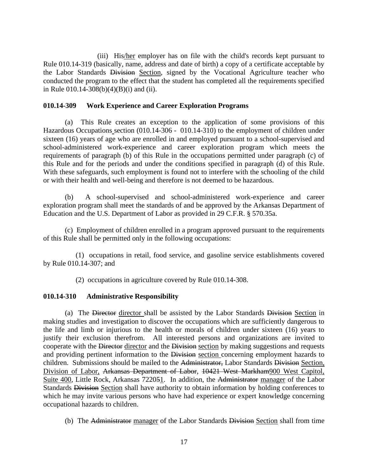(iii) His/her employer has on file with the child's records kept pursuant to Rule 010.14-319 (basically, name, address and date of birth) a copy of a certificate acceptable by the Labor Standards Division Section, signed by the Vocational Agriculture teacher who conducted the program to the effect that the student has completed all the requirements specified in Rule 010.14-308(b)(4)(B)(i) and (ii).

#### **010.14-309 Work Experience and Career Exploration Programs**

(a) This Rule creates an exception to the application of some provisions of this Hazardous Occupations section (010.14-306 - 010.14-310) to the employment of children under sixteen (16) years of age who are enrolled in and employed pursuant to a school-supervised and school-administered work-experience and career exploration program which meets the requirements of paragraph (b) of this Rule in the occupations permitted under paragraph (c) of this Rule and for the periods and under the conditions specified in paragraph (d) of this Rule. With these safeguards, such employment is found not to interfere with the schooling of the child or with their health and well-being and therefore is not deemed to be hazardous.

(b) A school-supervised and school-administered work-experience and career exploration program shall meet the standards of and be approved by the Arkansas Department of Education and the U.S. Department of Labor as provided in 29 C.F.R. § 570.35a.

(c) Employment of children enrolled in a program approved pursuant to the requirements of this Rule shall be permitted only in the following occupations:

(1) occupations in retail, food service, and gasoline service establishments covered by Rule 010.14-307; and

(2) occupations in agriculture covered by Rule 010.14-308.

#### **010.14-310 Administrative Responsibility**

(a) The Director director shall be assisted by the Labor Standards Division Section in making studies and investigation to discover the occupations which are sufficiently dangerous to the life and limb or injurious to the health or morals of children under sixteen (16) years to justify their exclusion therefrom. All interested persons and organizations are invited to cooperate with the Director director and the Division section by making suggestions and requests and providing pertinent information to the Division section concerning employment hazards to children. Submissions should be mailed to the Administrator, Labor Standards Division Section, Division of Labor, Arkansas Department of Labor, 10421 West Markham900 West Capitol, Suite 400, Little Rock, Arkansas 722051. In addition, the Administrator manager of the Labor Standards <del>Division</del> Section shall have authority to obtain information by holding conferences to which he may invite various persons who have had experience or expert knowledge concerning occupational hazards to children.

(b) The Administrator manager of the Labor Standards Division Section shall from time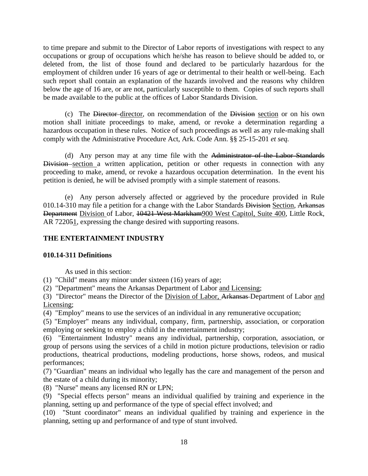to time prepare and submit to the Director of Labor reports of investigations with respect to any occupations or group of occupations which he/she has reason to believe should be added to, or deleted from, the list of those found and declared to be particularly hazardous for the employment of children under 16 years of age or detrimental to their health or well-being. Each such report shall contain an explanation of the hazards involved and the reasons why children below the age of 16 are, or are not, particularly susceptible to them. Copies of such reports shall be made available to the public at the offices of Labor Standards Division.

(c) The Director director, on recommendation of the Division section or on his own motion shall initiate proceedings to make, amend, or revoke a determination regarding a hazardous occupation in these rules. Notice of such proceedings as well as any rule-making shall comply with the Administrative Procedure Act, Ark. Code Ann. §§ 25-15-201 *et seq.*

(d) Any person may at any time file with the Administrator of the Labor Standards Division section a written application, petition or other requests in connection with any proceeding to make, amend, or revoke a hazardous occupation determination. In the event his petition is denied, he will be advised promptly with a simple statement of reasons.

(e) Any person adversely affected or aggrieved by the procedure provided in Rule 010.14-310 may file a petition for a change with the Labor Standards Division Section, Arkansas Department Division of Labor, 10421 West Markham900 West Capitol, Suite 400, Little Rock, AR 722051, expressing the change desired with supporting reasons.

## **THE ENTERTAINMENT INDUSTRY**

#### **010.14-311 Definitions**

As used in this section:

(1) "Child" means any minor under sixteen (16) years of age;

(2) "Department" means the Arkansas Department of Labor and Licensing;

(3) "Director" means the Director of the Division of Labor, Arkansas Department of Labor and Licensing;

(4) "Employ" means to use the services of an individual in any remunerative occupation;

(5) "Employer" means any individual, company, firm, partnership, association, or corporation employing or seeking to employ a child in the entertainment industry;

(6) "Entertainment Industry" means any individual, partnership, corporation, association, or group of persons using the services of a child in motion picture productions, television or radio productions, theatrical productions, modeling productions, horse shows, rodeos, and musical performances;

(7) "Guardian" means an individual who legally has the care and management of the person and the estate of a child during its minority;

(8) "Nurse" means any licensed RN or LPN;

(9) "Special effects person" means an individual qualified by training and experience in the planning, setting up and performance of the type of special effect involved; and

(10) "Stunt coordinator" means an individual qualified by training and experience in the planning, setting up and performance of and type of stunt involved.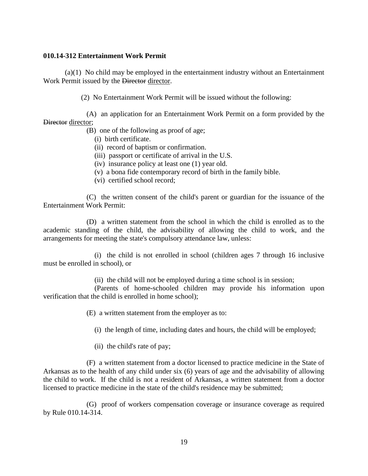#### **010.14-312 Entertainment Work Permit**

(a)(1) No child may be employed in the entertainment industry without an Entertainment Work Permit issued by the Director director.

(2) No Entertainment Work Permit will be issued without the following:

(A) an application for an Entertainment Work Permit on a form provided by the Director director;

(B) one of the following as proof of age;

- (i) birth certificate.
- (ii) record of baptism or confirmation.
- (iii) passport or certificate of arrival in the U.S.
- (iv) insurance policy at least one (1) year old.
- (v) a bona fide contemporary record of birth in the family bible.
- (vi) certified school record;

(C) the written consent of the child's parent or guardian for the issuance of the Entertainment Work Permit:

(D) a written statement from the school in which the child is enrolled as to the academic standing of the child, the advisability of allowing the child to work, and the arrangements for meeting the state's compulsory attendance law, unless:

(i) the child is not enrolled in school (children ages 7 through 16 inclusive must be enrolled in school), or

(ii) the child will not be employed during a time school is in session;

(Parents of home-schooled children may provide his information upon verification that the child is enrolled in home school);

(E) a written statement from the employer as to:

(i) the length of time, including dates and hours, the child will be employed;

(ii) the child's rate of pay;

(F) a written statement from a doctor licensed to practice medicine in the State of Arkansas as to the health of any child under six (6) years of age and the advisability of allowing the child to work. If the child is not a resident of Arkansas, a written statement from a doctor licensed to practice medicine in the state of the child's residence may be submitted;

(G) proof of workers compensation coverage or insurance coverage as required by Rule 010.14-314.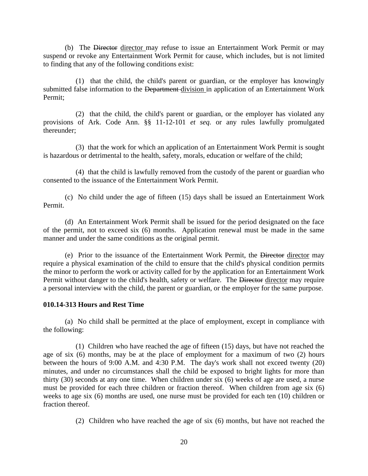(b) The Director director may refuse to issue an Entertainment Work Permit or may suspend or revoke any Entertainment Work Permit for cause, which includes, but is not limited to finding that any of the following conditions exist:

(1) that the child, the child's parent or guardian, or the employer has knowingly submitted false information to the Department-division in application of an Entertainment Work Permit;

(2) that the child, the child's parent or guardian, or the employer has violated any provisions of Ark. Code Ann. §§ 11-12-101 *et seq.* or any rules lawfully promulgated thereunder;

(3) that the work for which an application of an Entertainment Work Permit is sought is hazardous or detrimental to the health, safety, morals, education or welfare of the child;

(4) that the child is lawfully removed from the custody of the parent or guardian who consented to the issuance of the Entertainment Work Permit.

(c) No child under the age of fifteen (15) days shall be issued an Entertainment Work Permit.

(d) An Entertainment Work Permit shall be issued for the period designated on the face of the permit, not to exceed six (6) months. Application renewal must be made in the same manner and under the same conditions as the original permit.

(e) Prior to the issuance of the Entertainment Work Permit, the Director director may require a physical examination of the child to ensure that the child's physical condition permits the minor to perform the work or activity called for by the application for an Entertainment Work Permit without danger to the child's health, safety or welfare. The Director director may require a personal interview with the child, the parent or guardian, or the employer for the same purpose.

#### **010.14-313 Hours and Rest Time**

(a) No child shall be permitted at the place of employment, except in compliance with the following:

(1) Children who have reached the age of fifteen (15) days, but have not reached the age of six (6) months, may be at the place of employment for a maximum of two (2) hours between the hours of 9:00 A.M. and 4:30 P.M. The day's work shall not exceed twenty (20) minutes, and under no circumstances shall the child be exposed to bright lights for more than thirty (30) seconds at any one time. When children under six (6) weeks of age are used, a nurse must be provided for each three children or fraction thereof. When children from age six (6) weeks to age six (6) months are used, one nurse must be provided for each ten (10) children or fraction thereof.

(2) Children who have reached the age of six (6) months, but have not reached the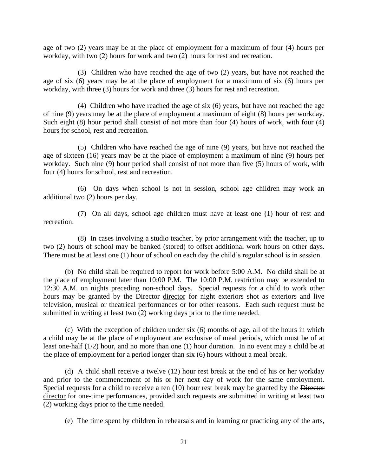age of two (2) years may be at the place of employment for a maximum of four (4) hours per workday, with two (2) hours for work and two (2) hours for rest and recreation.

(3) Children who have reached the age of two (2) years, but have not reached the age of six (6) years may be at the place of employment for a maximum of six (6) hours per workday, with three (3) hours for work and three (3) hours for rest and recreation.

(4) Children who have reached the age of six (6) years, but have not reached the age of nine (9) years may be at the place of employment a maximum of eight (8) hours per workday. Such eight (8) hour period shall consist of not more than four (4) hours of work, with four (4) hours for school, rest and recreation.

(5) Children who have reached the age of nine (9) years, but have not reached the age of sixteen (16) years may be at the place of employment a maximum of nine (9) hours per workday. Such nine (9) hour period shall consist of not more than five (5) hours of work, with four (4) hours for school, rest and recreation.

(6) On days when school is not in session, school age children may work an additional two (2) hours per day.

(7) On all days, school age children must have at least one (1) hour of rest and recreation.

(8) In cases involving a studio teacher, by prior arrangement with the teacher, up to two (2) hours of school may be banked (stored) to offset additional work hours on other days. There must be at least one (1) hour of school on each day the child's regular school is in session.

(b) No child shall be required to report for work before 5:00 A.M. No child shall be at the place of employment later than 10:00 P.M. The 10:00 P.M. restriction may be extended to 12:30 A.M. on nights preceding non-school days. Special requests for a child to work other hours may be granted by the Director director for night exteriors shot as exteriors and live television, musical or theatrical performances or for other reasons. Each such request must be submitted in writing at least two (2) working days prior to the time needed.

(c) With the exception of children under six (6) months of age, all of the hours in which a child may be at the place of employment are exclusive of meal periods, which must be of at least one-half (1/2) hour, and no more than one (1) hour duration. In no event may a child be at the place of employment for a period longer than six (6) hours without a meal break.

(d) A child shall receive a twelve (12) hour rest break at the end of his or her workday and prior to the commencement of his or her next day of work for the same employment. Special requests for a child to receive a ten (10) hour rest break may be granted by the Director director for one-time performances, provided such requests are submitted in writing at least two (2) working days prior to the time needed.

(e) The time spent by children in rehearsals and in learning or practicing any of the arts,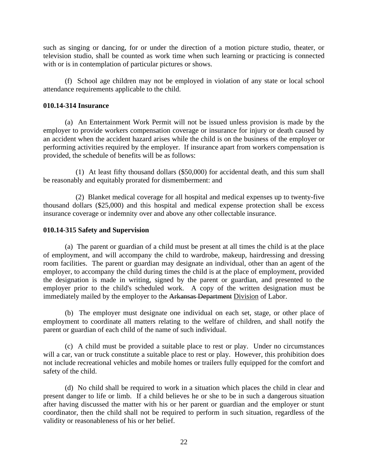such as singing or dancing, for or under the direction of a motion picture studio, theater, or television studio, shall be counted as work time when such learning or practicing is connected with or is in contemplation of particular pictures or shows.

(f) School age children may not be employed in violation of any state or local school attendance requirements applicable to the child.

#### **010.14-314 Insurance**

(a) An Entertainment Work Permit will not be issued unless provision is made by the employer to provide workers compensation coverage or insurance for injury or death caused by an accident when the accident hazard arises while the child is on the business of the employer or performing activities required by the employer. If insurance apart from workers compensation is provided, the schedule of benefits will be as follows:

(1) At least fifty thousand dollars (\$50,000) for accidental death, and this sum shall be reasonably and equitably prorated for dismemberment: and

(2) Blanket medical coverage for all hospital and medical expenses up to twenty-five thousand dollars (\$25,000) and this hospital and medical expense protection shall be excess insurance coverage or indemnity over and above any other collectable insurance.

## **010.14-315 Safety and Supervision**

(a) The parent or guardian of a child must be present at all times the child is at the place of employment, and will accompany the child to wardrobe, makeup, hairdressing and dressing room facilities. The parent or guardian may designate an individual, other than an agent of the employer, to accompany the child during times the child is at the place of employment, provided the designation is made in writing, signed by the parent or guardian, and presented to the employer prior to the child's scheduled work. A copy of the written designation must be immediately mailed by the employer to the Arkansas Department Division of Labor.

(b) The employer must designate one individual on each set, stage, or other place of employment to coordinate all matters relating to the welfare of children, and shall notify the parent or guardian of each child of the name of such individual.

(c) A child must be provided a suitable place to rest or play. Under no circumstances will a car, van or truck constitute a suitable place to rest or play. However, this prohibition does not include recreational vehicles and mobile homes or trailers fully equipped for the comfort and safety of the child.

(d) No child shall be required to work in a situation which places the child in clear and present danger to life or limb. If a child believes he or she to be in such a dangerous situation after having discussed the matter with his or her parent or guardian and the employer or stunt coordinator, then the child shall not be required to perform in such situation, regardless of the validity or reasonableness of his or her belief.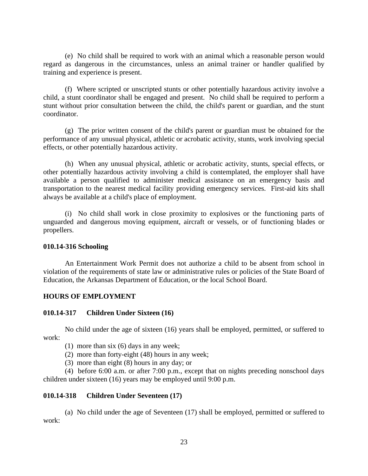(e) No child shall be required to work with an animal which a reasonable person would regard as dangerous in the circumstances, unless an animal trainer or handler qualified by training and experience is present.

(f) Where scripted or unscripted stunts or other potentially hazardous activity involve a child, a stunt coordinator shall be engaged and present. No child shall be required to perform a stunt without prior consultation between the child, the child's parent or guardian, and the stunt coordinator.

(g) The prior written consent of the child's parent or guardian must be obtained for the performance of any unusual physical, athletic or acrobatic activity, stunts, work involving special effects, or other potentially hazardous activity.

(h) When any unusual physical, athletic or acrobatic activity, stunts, special effects, or other potentially hazardous activity involving a child is contemplated, the employer shall have available a person qualified to administer medical assistance on an emergency basis and transportation to the nearest medical facility providing emergency services. First-aid kits shall always be available at a child's place of employment.

(i) No child shall work in close proximity to explosives or the functioning parts of unguarded and dangerous moving equipment, aircraft or vessels, or of functioning blades or propellers.

#### **010.14-316 Schooling**

An Entertainment Work Permit does not authorize a child to be absent from school in violation of the requirements of state law or administrative rules or policies of the State Board of Education, the Arkansas Department of Education, or the local School Board.

#### **HOURS OF EMPLOYMENT**

## **010.14-317 Children Under Sixteen (16)**

No child under the age of sixteen (16) years shall be employed, permitted, or suffered to work:

(1) more than six (6) days in any week;

(2) more than forty-eight (48) hours in any week;

(3) more than eight (8) hours in any day; or

(4) before 6:00 a.m. or after 7:00 p.m., except that on nights preceding nonschool days children under sixteen (16) years may be employed until 9:00 p.m.

## **010.14-318 Children Under Seventeen (17)**

(a) No child under the age of Seventeen (17) shall be employed, permitted or suffered to work: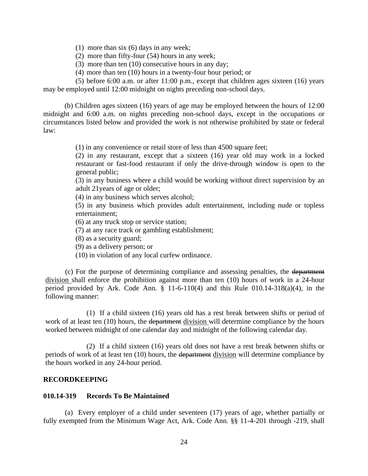- (1) more than six (6) days in any week;
- (2) more than fifty-four (54) hours in any week;
- (3) more than ten (10) consecutive hours in any day;
- (4) more than ten (10) hours in a twenty-four hour period; or

(5) before 6:00 a.m. or after 11:00 p.m., except that children ages sixteen (16) years may be employed until 12:00 midnight on nights preceding non-school days.

(b) Children ages sixteen (16) years of age may be employed between the hours of 12:00 midnight and 6:00 a.m. on nights preceding non-school days, except in the occupations or circumstances listed below and provided the work is not otherwise prohibited by state or federal law:

(1) in any convenience or retail store of less than 4500 square feet;

(2) in any restaurant, except that a sixteen (16) year old may work in a locked restaurant or fast-food restaurant if only the drive-through window is open to the general public;

(3) in any business where a child would be working without direct supervision by an adult 21years of age or older;

(4) in any business which serves alcohol;

(5) in any business which provides adult entertainment, including nude or topless entertainment;

(6) at any truck stop or service station;

(7) at any race track or gambling establishment;

(8) as a security guard;

(9) as a delivery person; or

(10) in violation of any local curfew ordinance.

(c) For the purpose of determining compliance and assessing penalties, the department division shall enforce the prohibition against more than ten (10) hours of work in a 24-hour period provided by Ark. Code Ann.  $\S$  11-6-110(4) and this Rule 010.14-318(a)(4), in the following manner:

(1) If a child sixteen (16) years old has a rest break between shifts or period of work of at least ten (10) hours, the <del>department</del> division will determine compliance by the hours worked between midnight of one calendar day and midnight of the following calendar day.

(2) If a child sixteen (16) years old does not have a rest break between shifts or periods of work of at least ten (10) hours, the department division will determine compliance by the hours worked in any 24-hour period.

#### **RECORDKEEPING**

#### **010.14-319 Records To Be Maintained**

(a) Every employer of a child under seventeen (17) years of age, whether partially or fully exempted from the Minimum Wage Act, Ark. Code Ann. §§ 11-4-201 through -219, shall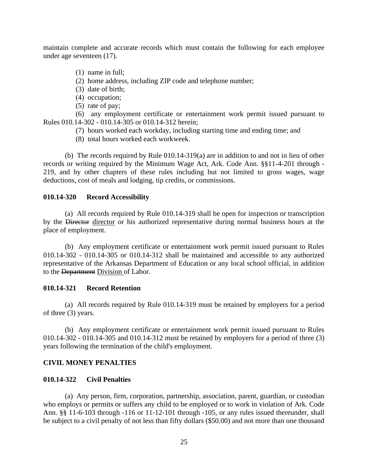maintain complete and accurate records which must contain the following for each employee under age seventeen (17).

- (1) name in full;
- (2) home address, including ZIP code and telephone number;
- (3) date of birth;
- (4) occupation;
- (5) rate of pay;

(6) any employment certificate or entertainment work permit issued pursuant to Rules 010.14-302 - 010.14-305 or 010.14-312 herein;

- (7) hours worked each workday, including starting time and ending time; and
- (8) total hours worked each workweek.

(b) The records required by Rule 010.14-319(a) are in addition to and not in lieu of other records or writing required by the Minimum Wage Act, Ark. Code Ann. §§11-4-201 through - 219, and by other chapters of these rules including but not limited to gross wages, wage deductions, cost of meals and lodging, tip credits, or commissions.

#### **010.14-320 Record Accessibility**

(a) All records required by Rule 010.14-319 shall be open for inspection or transcription by the Director director or his authorized representative during normal business hours at the place of employment.

(b) Any employment certificate or entertainment work permit issued pursuant to Rules 010.14-302 - 010.14-305 or 010.14-312 shall be maintained and accessible to any authorized representative of the Arkansas Department of Education or any local school official, in addition to the Department Division of Labor.

#### **010.14-321 Record Retention**

(a) All records required by Rule 010.14-319 must be retained by employers for a period of three (3) years.

(b) Any employment certificate or entertainment work permit issued pursuant to Rules 010.14-302 - 010.14-305 and 010.14-312 must be retained by employers for a period of three (3) years following the termination of the child's employment.

## **CIVIL MONEY PENALTIES**

#### **010.14-322 Civil Penalties**

(a) Any person, firm, corporation, partnership, association, parent, guardian, or custodian who employs or permits or suffers any child to be employed or to work in violation of Ark. Code Ann. §§ 11-6-103 through -116 or 11-12-101 through -105, or any rules issued thereunder, shall be subject to a civil penalty of not less than fifty dollars (\$50.00) and not more than one thousand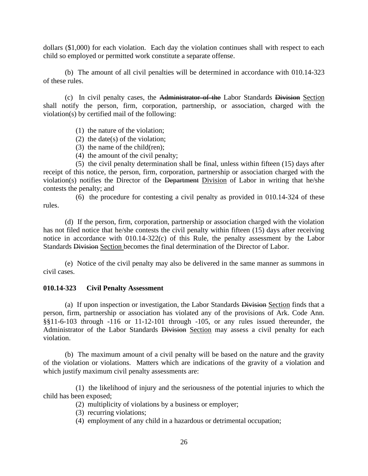dollars (\$1,000) for each violation. Each day the violation continues shall with respect to each child so employed or permitted work constitute a separate offense.

(b) The amount of all civil penalties will be determined in accordance with 010.14-323 of these rules.

(c) In civil penalty cases, the Administrator of the Labor Standards Division Section shall notify the person, firm, corporation, partnership, or association, charged with the violation(s) by certified mail of the following:

- (1) the nature of the violation;
- (2) the date(s) of the violation;
- (3) the name of the child(ren);
- (4) the amount of the civil penalty;

(5) the civil penalty determination shall be final, unless within fifteen (15) days after receipt of this notice, the person, firm, corporation, partnership or association charged with the violation(s) notifies the Director of the Department Division of Labor in writing that he/she contests the penalty; and

(6) the procedure for contesting a civil penalty as provided in 010.14-324 of these rules.

(d) If the person, firm, corporation, partnership or association charged with the violation has not filed notice that he/she contests the civil penalty within fifteen (15) days after receiving notice in accordance with 010.14-322(c) of this Rule, the penalty assessment by the Labor Standards Division Section becomes the final determination of the Director of Labor.

(e) Notice of the civil penalty may also be delivered in the same manner as summons in civil cases.

#### **010.14-323 Civil Penalty Assessment**

(a) If upon inspection or investigation, the Labor Standards Division Section finds that a person, firm, partnership or association has violated any of the provisions of Ark. Code Ann. §§11-6-103 through -116 or 11-12-101 through -105, or any rules issued thereunder, the Administrator of the Labor Standards Division Section may assess a civil penalty for each violation.

(b) The maximum amount of a civil penalty will be based on the nature and the gravity of the violation or violations. Matters which are indications of the gravity of a violation and which justify maximum civil penalty assessments are:

(1) the likelihood of injury and the seriousness of the potential injuries to which the child has been exposed;

(2) multiplicity of violations by a business or employer;

- (3) recurring violations;
- (4) employment of any child in a hazardous or detrimental occupation;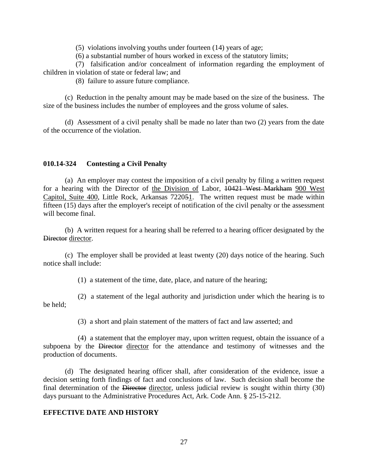(5) violations involving youths under fourteen (14) years of age;

(6) a substantial number of hours worked in excess of the statutory limits;

(7) falsification and/or concealment of information regarding the employment of children in violation of state or federal law; and

(8) failure to assure future compliance.

(c) Reduction in the penalty amount may be made based on the size of the business. The size of the business includes the number of employees and the gross volume of sales.

(d) Assessment of a civil penalty shall be made no later than two (2) years from the date of the occurrence of the violation.

## **010.14-324 Contesting a Civil Penalty**

(a) An employer may contest the imposition of a civil penalty by filing a written request for a hearing with the Director of the Division of Labor, 10421 West Markham 900 West Capitol, Suite 400, Little Rock, Arkansas 722051. The written request must be made within fifteen (15) days after the employer's receipt of notification of the civil penalty or the assessment will become final.

(b) A written request for a hearing shall be referred to a hearing officer designated by the Director director.

(c) The employer shall be provided at least twenty (20) days notice of the hearing. Such notice shall include:

(1) a statement of the time, date, place, and nature of the hearing;

(2) a statement of the legal authority and jurisdiction under which the hearing is to be held;

(3) a short and plain statement of the matters of fact and law asserted; and

(4) a statement that the employer may, upon written request, obtain the issuance of a subpoena by the Director director for the attendance and testimony of witnesses and the production of documents.

(d) The designated hearing officer shall, after consideration of the evidence, issue a decision setting forth findings of fact and conclusions of law. Such decision shall become the final determination of the Director director, unless judicial review is sought within thirty (30) days pursuant to the Administrative Procedures Act, Ark. Code Ann. § 25-15-212.

#### **EFFECTIVE DATE AND HISTORY**

27